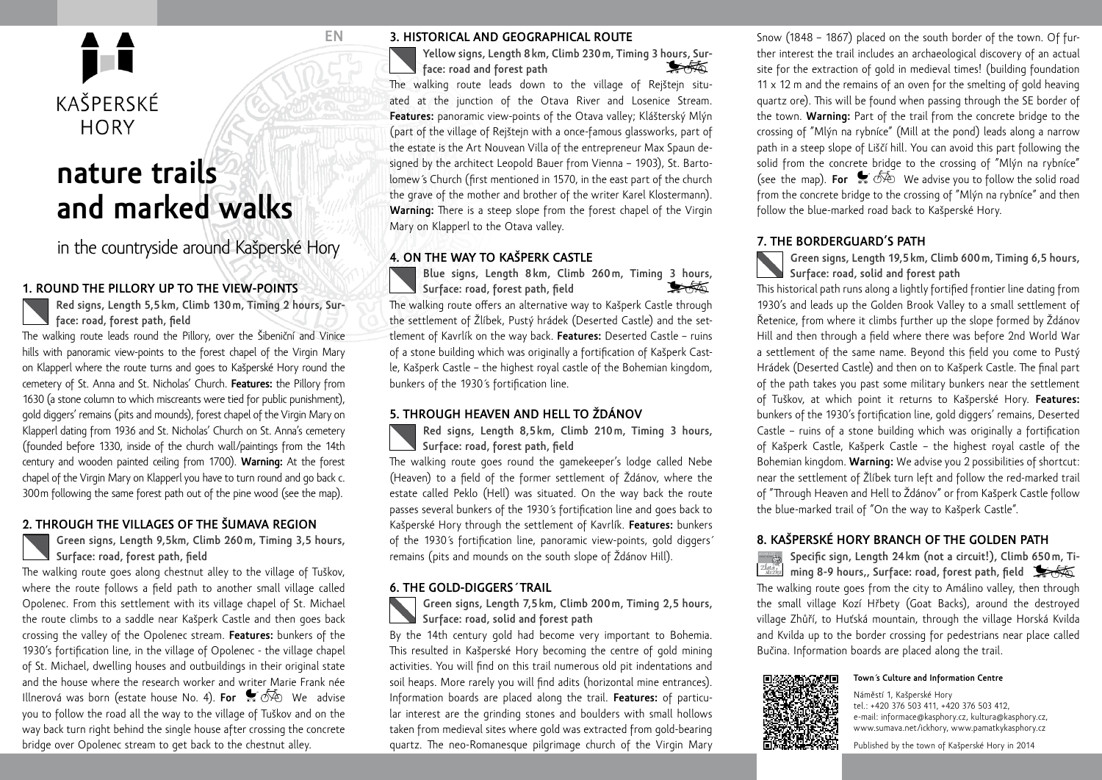

# **nature trails and marked walks**

in the countryside around Kašperské Hory

### **1. Round the Pillory up to the view-points**

**Red signs, Length 5,5km, Climb 130m, Timing 2 hours, Surface: road, forest path, field**

The walking route leads round the Pillory, over the Šibeniční and Vinice hills with panoramic view-points to the forest chapel of the Virgin Mary on Klapperl where the route turns and goes to Kašperské Hory round the cemetery of St. Anna and St. Nicholas' Church. **Features:** the Pillory from 1630 (a stone column to which miscreants were tied for public punishment), gold diggers' remains (pits and mounds), forest chapel of the Virgin Mary on Klapperl dating from 1936 and St. Nicholas' Church on St. Anna's cemetery (founded before 1330, inside of the church wall/paintings from the 14th century and wooden painted ceiling from 1700). **Warning:** At the forest chapel of the Virgin Mary on Klapperl you have to turn round and go back c. 300m following the same forest path out of the pine wood (see the map).

#### **2. Through the Villages of the Šumava Region**

#### **Green signs, Length 9,5km, Climb 260m, Timing 3,5 hours, Surface: road, forest path, field**

The walking route goes along chestnut alley to the village of Tuškov, where the route follows a field path to another small village called Opolenec. From this settlement with its village chapel of St. Michael the route climbs to a saddle near Kašperk Castle and then goes back crossing the valley of the Opolenec stream. **Features:** bunkers of the 1930's fortification line, in the village of Opolenec - the village chapel of St. Michael, dwelling houses and outbuildings in their original state and the house where the research worker and writer Marie Frank née Illnerová was born (estate house No. 4). **For**  $\mathcal{F}$   $\overline{\mathcal{P}}$  We advise you to follow the road all the way to the village of Tuškov and on the way back turn right behind the single house after crossing the concrete bridge over Opolenec stream to get back to the chestnut alley.

#### **3. Historical and Geographical Route**

**EN**

**Yellow signs, Length 8km, Climb 230m, Timing 3 hours, Surface: road and forest path**

The walking route leads down to the village of Rejštejn situated at the junction of the Otava River and Losenice Stream. **Features:** panoramic view-points of the Otava valley; Klášterský Mlýn (part of the village of Rejštejn with a once-famous glassworks, part of the estate is the Art Nouvean Villa of the entrepreneur Max Spaun designed by the architect Leopold Bauer from Vienna – 1903), St. Bartolomew´s Church (first mentioned in 1570, in the east part of the church the grave of the mother and brother of the writer Karel Klostermann). **Warning:** There is a steep slope from the forest chapel of the Virgin Mary on Klapperl to the Otava valley.

# **4. On the way to Kašperk Castle**

**Blue signs, Length 8km, Climb 260m, Timing 3 hours,**  ❤★☆ **Surface: road, forest path, field** The walking route offers an alternative way to Kašperk Castle through the settlement of Žlíbek, Pustý hrádek (Deserted Castle) and the settlement of Kavrlík on the way back. **Features:** Deserted Castle – ruins of a stone building which was originally a fortification of Kašperk Castle, Kašperk Castle – the highest royal castle of the Bohemian kingdom, bunkers of the 1930´s fortification line.

#### **5. Through Heaven and Hell to Ždánov**

**Red signs, Length 8,5km, Climb 210m, Timing 3 hours, Surface: road, forest path, field**

The walking route goes round the gamekeeper's lodge called Nebe (Heaven) to a field of the former settlement of Ždánov, where the estate called Peklo (Hell) was situated. On the way back the route passes several bunkers of the 1930´s fortification line and goes back to Kašperské Hory through the settlement of Kavrlík. **Features:** bunkers of the 1930´s fortification line, panoramic view-points, gold diggers´ remains (pits and mounds on the south slope of Ždánov Hill).

#### **6. The Gold-Diggers´ Trail**

**Green signs, Length 7,5km, Climb 200m, Timing 2,5 hours, Surface: road, solid and forest path**

By the 14th century gold had become very important to Bohemia. This resulted in Kašperské Hory becoming the centre of gold mining activities. You will find on this trail numerous old pit indentations and soil heaps. More rarely you will find adits (horizontal mine entrances). Information boards are placed along the trail. **Features:** of particular interest are the grinding stones and boulders with small hollows taken from medieval sites where gold was extracted from gold-bearing quartz. The neo-Romanesque pilgrimage church of the Virgin Mary

Snow (1848 – 1867) placed on the south border of the town. Of further interest the trail includes an archaeological discovery of an actual site for the extraction of gold in medieval times! (building foundation 11  $\times$  12 m and the remains of an oven for the smelting of gold heaving quartz ore). This will be found when passing through the SE border of the town. **Warning:** Part of the trail from the concrete bridge to the crossing of "Mlýn na rybníce" (Mill at the pond) leads along a narrow path in a steep slope of Liščí hill. You can avoid this part following the solid from the concrete bridge to the crossing of "Mlýn na rybníce" (see the map). **For**  $\bullet$   $\overline{\circ}$  We advise you to follow the solid road from the concrete bridge to the crossing of "Mlýn na rybníce" and then follow the blue-marked road back to Kašperské Hory.

# **7. The Borderguard's Path**

**Green signs, Length 19,5km, Climb 600m, Timing 6,5 hours, Surface: road, solid and forest path**

This historical path runs along a lightly fortified frontier line dating from 1930's and leads up the Golden Brook Valley to a small settlement of Řetenice, from where it climbs further up the slope formed by Ždánov Hill and then through a field where there was before 2nd World War a settlement of the same name. Beyond this field you come to Pustý Hrádek (Deserted Castle) and then on to Kašperk Castle. The final part of the path takes you past some military bunkers near the settlement of Tuškov, at which point it returns to Kašperské Hory. **Features:** bunkers of the 1930's fortification line, gold diggers' remains, Deserted Castle – ruins of a stone building which was originally a fortification of Kašperk Castle, Kašperk Castle – the highest royal castle of the Bohemian kingdom. **Warning:** We advise you 2 possibilities of shortcut: near the settlement of Žlíbek turn left and follow the red-marked trail of "Through Heaven and Hell to Ždánov" or from Kašperk Castle follow the blue-marked trail of "On the way to Kašperk Castle".

# **8. Kašperské Hory branch of the Golden Path**

**Specific sign, Length 24km (not a circuit!), Climb 650m, Ti-** $\overline{ab}$ ming 8-9 hours,, Surface: road, forest path, field The walking route goes from the city to Amálino valley, then through the small village Kozí Hřbety (Goat Backs), around the destroyed village Zhůří, to Huťská mountain, through the village Horská Kvilda and Kvilda up to the border crossing for pedestrians near place called Bučina. Information boards are placed along the trail.

#### **Town´s Culture and Information Centre**



Náměstí 1, Kašperské Hory tel.: +420 376 503 411, +420 376 503 412, e-mail: informace@kasphory.cz, kultura@kasphory.cz, www.sumava.net/ickhory, www.pamatkykasphory.cz

Published by the town of Kašperské Hory in 2014